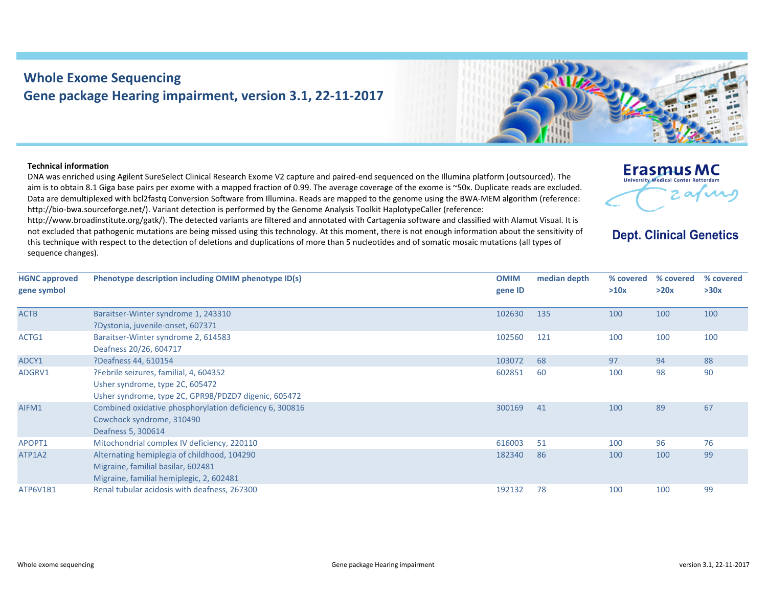## **Whole Exome Sequencing Gene package Hearing impairment, version 3.1, 22‐11‐2017**



## **Technical information**

DNA was enriched using Agilent SureSelect Clinical Research Exome V2 capture and paired‐end sequenced on the Illumina platform (outsourced). The aim is to obtain 8.1 Giga base pairs per exome with <sup>a</sup> mapped fraction of 0.99. The average coverage of the exome is ~50x. Duplicate reads are excluded. Data are demultiplexed with bcl2fastq Conversion Software from Illumina. Reads are mapped to the genome using the BWA‐MEM algorithm (reference: http://bio-bwa.sourceforge.net/). Variant detection is performed by the Genome Analysis Toolkit HaplotypeCaller (reference:

http://www.broadinstitute.org/gatk/). The detected variants are filtered and annotated with Cartagenia software and classified with Alamut Visual. It is not excluded that pathogenic mutations are being missed using this technology. At this moment, there is not enough information about the sensitivity of this technique with respect to the detection of deletions and duplications of more than 5 nucleotides and of somatic mosaic mutations (all types of sequence changes).



**Dept. Clinical Genetics** 

| <b>HGNC approved</b><br>gene symbol | Phenotype description including OMIM phenotype ID(s)                                                                              | <b>OMIM</b><br>gene ID | median depth | % covered<br>>10x | % covered<br>>20x | % covered<br>>30x |
|-------------------------------------|-----------------------------------------------------------------------------------------------------------------------------------|------------------------|--------------|-------------------|-------------------|-------------------|
| <b>ACTB</b>                         | Baraitser-Winter syndrome 1, 243310<br>?Dystonia, juvenile-onset, 607371                                                          | 102630                 | 135          | 100               | 100               | 100               |
| ACTG1                               | Baraitser-Winter syndrome 2, 614583<br>Deafness 20/26, 604717                                                                     | 102560                 | 121          | 100               | 100               | 100               |
| ADCY1                               | ?Deafness 44, 610154                                                                                                              | 103072                 | 68           | 97                | 94                | 88                |
| ADGRV1                              | ?Febrile seizures, familial, 4, 604352<br>Usher syndrome, type 2C, 605472<br>Usher syndrome, type 2C, GPR98/PDZD7 digenic, 605472 | 602851                 | 60           | 100               | 98                | 90                |
| AIFM1                               | Combined oxidative phosphorylation deficiency 6, 300816<br>Cowchock syndrome, 310490<br>Deafness 5, 300614                        | 300169                 | 41           | 100               | 89                | 67                |
| APOPT1                              | Mitochondrial complex IV deficiency, 220110                                                                                       | 616003                 | 51           | 100               | 96                | 76                |
| ATP1A2                              | Alternating hemiplegia of childhood, 104290<br>Migraine, familial basilar, 602481<br>Migraine, familial hemiplegic, 2, 602481     | 182340                 | 86           | 100               | 100               | 99                |
| ATP6V1B1                            | Renal tubular acidosis with deafness, 267300                                                                                      | 192132                 | 78           | 100               | 100               | 99                |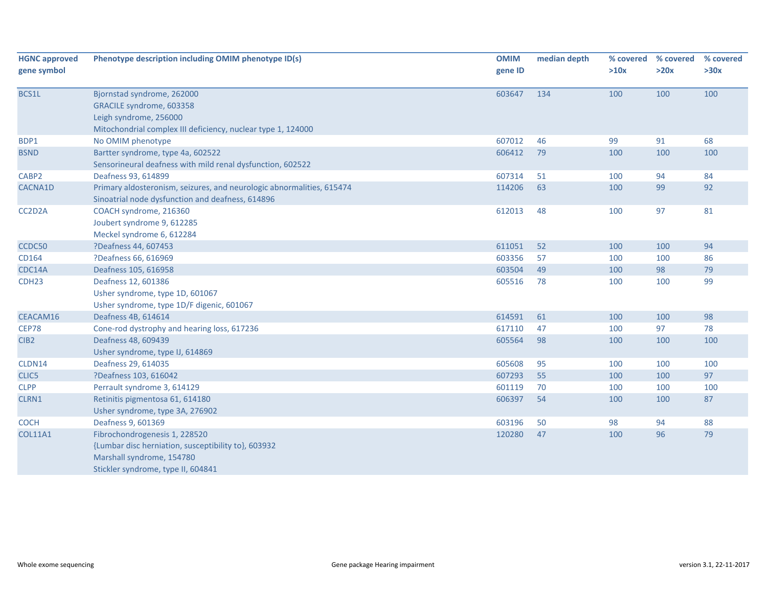| <b>HGNC approved</b> | Phenotype description including OMIM phenotype ID(s)                                                                      | <b>OMIM</b> | median depth | % covered | % covered | % covered |
|----------------------|---------------------------------------------------------------------------------------------------------------------------|-------------|--------------|-----------|-----------|-----------|
| gene symbol          |                                                                                                                           | gene ID     |              | >10x      | >20x      | >30x      |
|                      |                                                                                                                           |             |              |           |           |           |
| BCS1L                | Bjornstad syndrome, 262000                                                                                                | 603647      | 134          | 100       | 100       | 100       |
|                      | GRACILE syndrome, 603358<br>Leigh syndrome, 256000                                                                        |             |              |           |           |           |
|                      |                                                                                                                           |             |              |           |           |           |
|                      | Mitochondrial complex III deficiency, nuclear type 1, 124000                                                              | 607012      | 46           | 99        | 91        | 68        |
| BDP1                 | No OMIM phenotype                                                                                                         | 606412      | 79           |           |           |           |
| <b>BSND</b>          | Bartter syndrome, type 4a, 602522                                                                                         |             |              | 100       | 100       | 100       |
|                      | Sensorineural deafness with mild renal dysfunction, 602522                                                                |             |              |           |           |           |
| CABP2                | Deafness 93, 614899                                                                                                       | 607314      | 51           | 100       | 94        | 84        |
| CACNA1D              | Primary aldosteronism, seizures, and neurologic abnormalities, 615474<br>Sinoatrial node dysfunction and deafness, 614896 | 114206      | 63           | 100       | 99        | 92        |
| CC2D2A               | COACH syndrome, 216360                                                                                                    | 612013      | 48           | 100       | 97        | 81        |
|                      | Joubert syndrome 9, 612285                                                                                                |             |              |           |           |           |
|                      | Meckel syndrome 6, 612284                                                                                                 |             |              |           |           |           |
| CCDC50               | ?Deafness 44, 607453                                                                                                      | 611051      | 52           | 100       | 100       | 94        |
| CD164                | ?Deafness 66, 616969                                                                                                      | 603356      | 57           | 100       | 100       | 86        |
| CDC14A               | Deafness 105, 616958                                                                                                      | 603504      | 49           | 100       | 98        | 79        |
| CDH <sub>23</sub>    | Deafness 12, 601386                                                                                                       | 605516      | 78           | 100       | 100       | 99        |
|                      | Usher syndrome, type 1D, 601067                                                                                           |             |              |           |           |           |
|                      | Usher syndrome, type 1D/F digenic, 601067                                                                                 |             |              |           |           |           |
| CEACAM16             | Deafness 4B, 614614                                                                                                       | 614591      | 61           | 100       | 100       | 98        |
| CEP78                | Cone-rod dystrophy and hearing loss, 617236                                                                               | 617110      | 47           | 100       | 97        | 78        |
| CIB <sub>2</sub>     | Deafness 48, 609439                                                                                                       | 605564      | 98           | 100       | 100       | 100       |
|                      | Usher syndrome, type IJ, 614869                                                                                           |             |              |           |           |           |
| CLDN14               | Deafness 29, 614035                                                                                                       | 605608      | 95           | 100       | 100       | 100       |
| CLIC5                | ?Deafness 103, 616042                                                                                                     | 607293      | 55           | 100       | 100       | 97        |
| <b>CLPP</b>          | Perrault syndrome 3, 614129                                                                                               | 601119      | 70           | 100       | 100       | 100       |
| CLRN1                | Retinitis pigmentosa 61, 614180                                                                                           | 606397      | 54           | 100       | 100       | 87        |
|                      | Usher syndrome, type 3A, 276902                                                                                           |             |              |           |           |           |
| COCH                 | Deafness 9, 601369                                                                                                        | 603196      | 50           | 98        | 94        | 88        |
| <b>COL11A1</b>       | Fibrochondrogenesis 1, 228520                                                                                             | 120280      | 47           | 100       | 96        | 79        |
|                      | {Lumbar disc herniation, susceptibility to}, 603932                                                                       |             |              |           |           |           |
|                      | Marshall syndrome, 154780                                                                                                 |             |              |           |           |           |
|                      | Stickler syndrome, type II, 604841                                                                                        |             |              |           |           |           |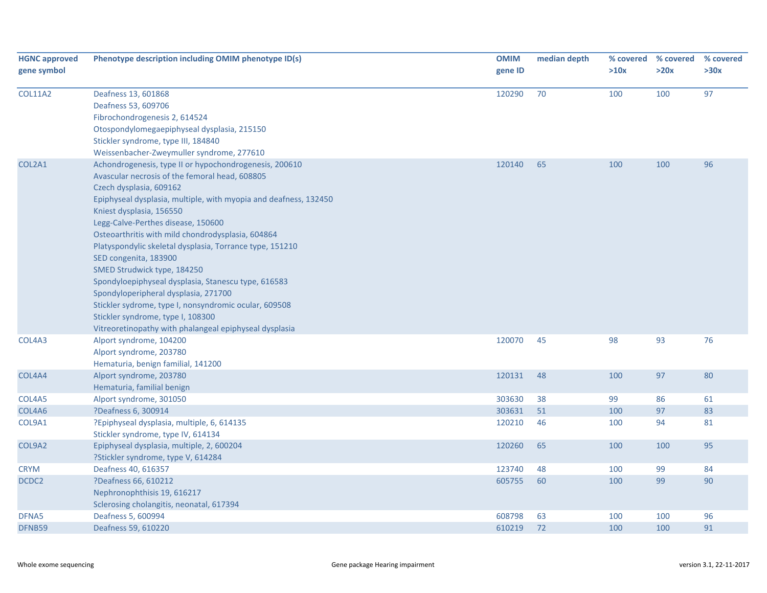| <b>HGNC approved</b><br>gene symbol | Phenotype description including OMIM phenotype ID(s)                                                                                                                                                                                                                                                                                                                                                                                                                                                                                                                                                                                                                                                      | <b>OMIM</b><br>gene ID | median depth | % covered<br>>10x | % covered<br>>20x | % covered<br>>30x |
|-------------------------------------|-----------------------------------------------------------------------------------------------------------------------------------------------------------------------------------------------------------------------------------------------------------------------------------------------------------------------------------------------------------------------------------------------------------------------------------------------------------------------------------------------------------------------------------------------------------------------------------------------------------------------------------------------------------------------------------------------------------|------------------------|--------------|-------------------|-------------------|-------------------|
| <b>COL11A2</b>                      | Deafness 13, 601868<br>Deafness 53, 609706<br>Fibrochondrogenesis 2, 614524<br>Otospondylomegaepiphyseal dysplasia, 215150<br>Stickler syndrome, type III, 184840<br>Weissenbacher-Zweymuller syndrome, 277610                                                                                                                                                                                                                                                                                                                                                                                                                                                                                            | 120290                 | 70           | 100               | 100               | 97                |
| COL2A1                              | Achondrogenesis, type II or hypochondrogenesis, 200610<br>Avascular necrosis of the femoral head, 608805<br>Czech dysplasia, 609162<br>Epiphyseal dysplasia, multiple, with myopia and deafness, 132450<br>Kniest dysplasia, 156550<br>Legg-Calve-Perthes disease, 150600<br>Osteoarthritis with mild chondrodysplasia, 604864<br>Platyspondylic skeletal dysplasia, Torrance type, 151210<br>SED congenita, 183900<br>SMED Strudwick type, 184250<br>Spondyloepiphyseal dysplasia, Stanescu type, 616583<br>Spondyloperipheral dysplasia, 271700<br>Stickler sydrome, type I, nonsyndromic ocular, 609508<br>Stickler syndrome, type I, 108300<br>Vitreoretinopathy with phalangeal epiphyseal dysplasia | 120140                 | 65           | 100               | 100               | 96                |
| COL4A3                              | Alport syndrome, 104200<br>Alport syndrome, 203780<br>Hematuria, benign familial, 141200                                                                                                                                                                                                                                                                                                                                                                                                                                                                                                                                                                                                                  | 120070                 | 45           | 98                | 93                | 76                |
| COL4A4                              | Alport syndrome, 203780<br>Hematuria, familial benign                                                                                                                                                                                                                                                                                                                                                                                                                                                                                                                                                                                                                                                     | 120131                 | 48           | 100               | 97                | 80                |
| COL4A5                              | Alport syndrome, 301050                                                                                                                                                                                                                                                                                                                                                                                                                                                                                                                                                                                                                                                                                   | 303630                 | 38           | 99                | 86                | 61                |
| COL4A6                              | ?Deafness 6, 300914                                                                                                                                                                                                                                                                                                                                                                                                                                                                                                                                                                                                                                                                                       | 303631                 | 51           | 100               | 97                | 83                |
| COL9A1                              | ?Epiphyseal dysplasia, multiple, 6, 614135<br>Stickler syndrome, type IV, 614134                                                                                                                                                                                                                                                                                                                                                                                                                                                                                                                                                                                                                          | 120210                 | 46           | 100               | 94                | 81                |
| COL9A2                              | Epiphyseal dysplasia, multiple, 2, 600204<br>?Stickler syndrome, type V, 614284                                                                                                                                                                                                                                                                                                                                                                                                                                                                                                                                                                                                                           | 120260                 | 65           | 100               | 100               | 95                |
| <b>CRYM</b>                         | Deafness 40, 616357                                                                                                                                                                                                                                                                                                                                                                                                                                                                                                                                                                                                                                                                                       | 123740                 | 48           | 100               | 99                | 84                |
| DCDC <sub>2</sub>                   | ?Deafness 66, 610212<br>Nephronophthisis 19, 616217<br>Sclerosing cholangitis, neonatal, 617394                                                                                                                                                                                                                                                                                                                                                                                                                                                                                                                                                                                                           | 605755                 | 60           | 100               | 99                | 90                |
| DFNA5                               | Deafness 5, 600994                                                                                                                                                                                                                                                                                                                                                                                                                                                                                                                                                                                                                                                                                        | 608798                 | 63           | 100               | 100               | 96                |
| DFNB59                              | Deafness 59, 610220                                                                                                                                                                                                                                                                                                                                                                                                                                                                                                                                                                                                                                                                                       | 610219                 | 72           | 100               | 100               | 91                |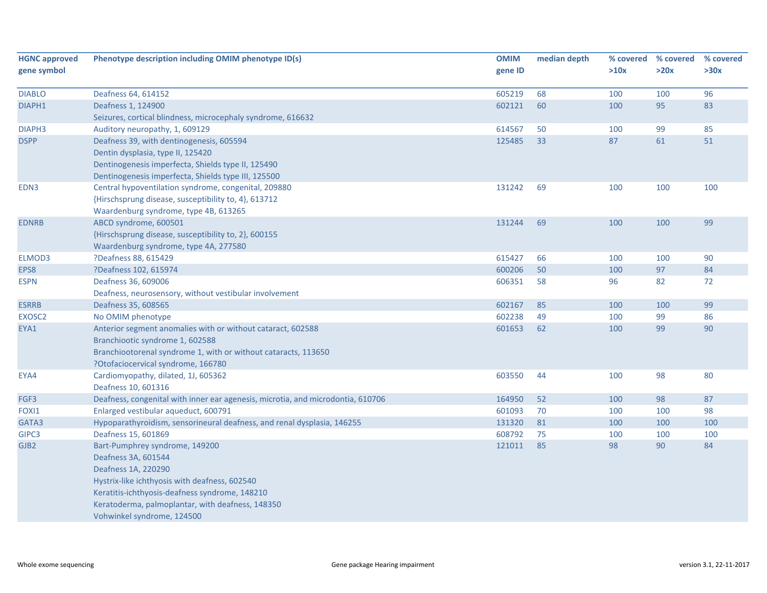| <b>HGNC approved</b> | Phenotype description including OMIM phenotype ID(s)                            |         | median depth |      | % covered % covered | % covered |
|----------------------|---------------------------------------------------------------------------------|---------|--------------|------|---------------------|-----------|
| gene symbol          |                                                                                 | gene ID |              | >10x | >20x                | >30x      |
|                      |                                                                                 |         |              |      |                     |           |
| <b>DIABLO</b>        | Deafness 64, 614152                                                             | 605219  | 68           | 100  | 100                 | 96        |
| DIAPH1               | Deafness 1, 124900                                                              | 602121  | 60           | 100  | 95                  | 83        |
|                      | Seizures, cortical blindness, microcephaly syndrome, 616632                     |         |              |      |                     |           |
| DIAPH <sub>3</sub>   | Auditory neuropathy, 1, 609129                                                  | 614567  | 50           | 100  | 99                  | 85        |
| <b>DSPP</b>          | Deafness 39, with dentinogenesis, 605594                                        | 125485  | 33           | 87   | 61                  | 51        |
|                      | Dentin dysplasia, type II, 125420                                               |         |              |      |                     |           |
|                      | Dentinogenesis imperfecta, Shields type II, 125490                              |         |              |      |                     |           |
|                      | Dentinogenesis imperfecta, Shields type III, 125500                             |         |              |      |                     |           |
| EDN3                 | Central hypoventilation syndrome, congenital, 209880                            | 131242  | 69           | 100  | 100                 | 100       |
|                      | {Hirschsprung disease, susceptibility to, 4}, 613712                            |         |              |      |                     |           |
|                      | Waardenburg syndrome, type 4B, 613265                                           |         |              |      |                     |           |
| <b>EDNRB</b>         | ABCD syndrome, 600501                                                           | 131244  | 69           | 100  | 100                 | 99        |
|                      | {Hirschsprung disease, susceptibility to, 2}, 600155                            |         |              |      |                     |           |
|                      | Waardenburg syndrome, type 4A, 277580                                           |         |              |      |                     |           |
| ELMOD3               | ?Deafness 88, 615429                                                            | 615427  | 66           | 100  | 100                 | 90        |
| EPS8                 | ?Deafness 102, 615974                                                           | 600206  | 50           | 100  | 97                  | 84        |
| <b>ESPN</b>          | Deafness 36, 609006                                                             | 606351  | 58           | 96   | 82                  | 72        |
|                      | Deafness, neurosensory, without vestibular involvement                          |         |              |      |                     |           |
| <b>ESRRB</b>         | Deafness 35, 608565                                                             | 602167  | 85           | 100  | 100                 | 99        |
| EXOSC2               | No OMIM phenotype                                                               | 602238  | 49           | 100  | 99                  | 86        |
| EYA1                 | Anterior segment anomalies with or without cataract, 602588                     | 601653  | 62           | 100  | 99                  | 90        |
|                      | Branchiootic syndrome 1, 602588                                                 |         |              |      |                     |           |
|                      | Branchiootorenal syndrome 1, with or without cataracts, 113650                  |         |              |      |                     |           |
|                      | ?Otofaciocervical syndrome, 166780                                              |         |              |      |                     |           |
| EYA4                 | Cardiomyopathy, dilated, 1J, 605362                                             | 603550  | 44           | 100  | 98                  | 80        |
|                      | Deafness 10, 601316                                                             |         |              |      |                     |           |
| FGF3                 | Deafness, congenital with inner ear agenesis, microtia, and microdontia, 610706 | 164950  | 52           | 100  | 98                  | 87        |
| FOXI1                | Enlarged vestibular aqueduct, 600791                                            | 601093  | 70           | 100  | 100                 | 98        |
| GATA3                | Hypoparathyroidism, sensorineural deafness, and renal dysplasia, 146255         | 131320  | 81           | 100  | 100                 | 100       |
| GIPC3                | Deafness 15, 601869                                                             | 608792  | 75           | 100  | 100                 | 100       |
| GJB2                 | Bart-Pumphrey syndrome, 149200                                                  | 121011  | 85           | 98   | 90                  | 84        |
|                      | Deafness 3A, 601544                                                             |         |              |      |                     |           |
|                      | Deafness 1A, 220290                                                             |         |              |      |                     |           |
|                      | Hystrix-like ichthyosis with deafness, 602540                                   |         |              |      |                     |           |
|                      | Keratitis-ichthyosis-deafness syndrome, 148210                                  |         |              |      |                     |           |
|                      | Keratoderma, palmoplantar, with deafness, 148350                                |         |              |      |                     |           |
|                      | Vohwinkel syndrome, 124500                                                      |         |              |      |                     |           |
|                      |                                                                                 |         |              |      |                     |           |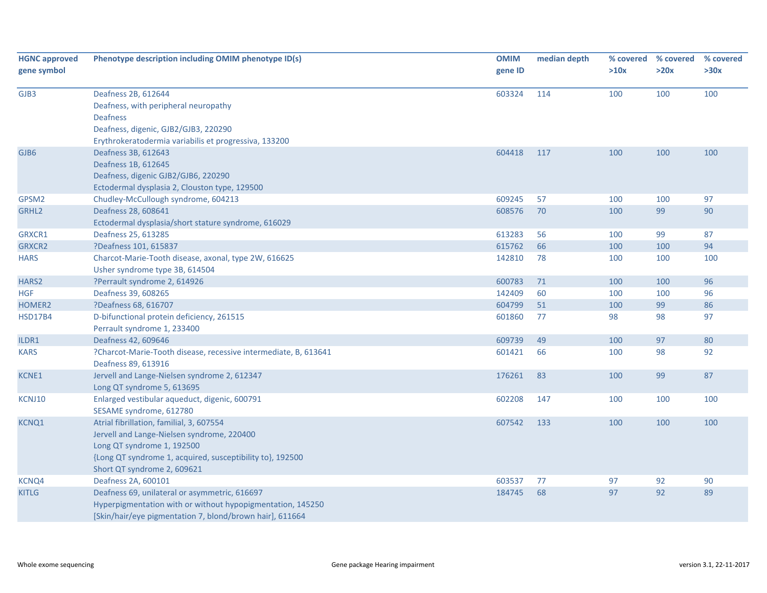| <b>HGNC approved</b> | Phenotype description including OMIM phenotype ID(s)                                   | <b>OMIM</b> | median depth |      | % covered % covered | % covered |
|----------------------|----------------------------------------------------------------------------------------|-------------|--------------|------|---------------------|-----------|
| gene symbol          |                                                                                        | gene ID     |              | >10x | >20x                | >30x      |
| GJB3                 | Deafness 2B, 612644                                                                    | 603324      | 114          | 100  | 100                 | 100       |
|                      | Deafness, with peripheral neuropathy                                                   |             |              |      |                     |           |
|                      | <b>Deafness</b>                                                                        |             |              |      |                     |           |
|                      | Deafness, digenic, GJB2/GJB3, 220290                                                   |             |              |      |                     |           |
|                      | Erythrokeratodermia variabilis et progressiva, 133200                                  |             |              |      |                     |           |
| GJB6                 | Deafness 3B, 612643                                                                    | 604418      | 117          | 100  | 100                 | 100       |
|                      | Deafness 1B, 612645                                                                    |             |              |      |                     |           |
|                      | Deafness, digenic GJB2/GJB6, 220290                                                    |             |              |      |                     |           |
|                      | Ectodermal dysplasia 2, Clouston type, 129500                                          |             |              |      |                     |           |
| GPSM2                | Chudley-McCullough syndrome, 604213                                                    | 609245      | 57           | 100  | 100                 | 97        |
| GRHL2                | Deafness 28, 608641                                                                    | 608576      | 70           | 100  | 99                  | 90        |
|                      | Ectodermal dysplasia/short stature syndrome, 616029                                    |             |              |      |                     |           |
| GRXCR1               | Deafness 25, 613285                                                                    | 613283      | 56           | 100  | 99                  | 87        |
| <b>GRXCR2</b>        | ?Deafness 101, 615837                                                                  | 615762      | 66           | 100  | 100                 | 94        |
| <b>HARS</b>          | Charcot-Marie-Tooth disease, axonal, type 2W, 616625                                   | 142810      | 78           | 100  | 100                 | 100       |
|                      | Usher syndrome type 3B, 614504                                                         |             |              |      |                     |           |
| HARS <sub>2</sub>    | ?Perrault syndrome 2, 614926                                                           | 600783      | 71           | 100  | 100                 | 96        |
| <b>HGF</b>           | Deafness 39, 608265                                                                    | 142409      | 60           | 100  | 100                 | 96        |
| HOMER <sub>2</sub>   | ?Deafness 68, 616707                                                                   | 604799      | 51           | 100  | 99                  | 86        |
| <b>HSD17B4</b>       | D-bifunctional protein deficiency, 261515                                              | 601860      | 77           | 98   | 98                  | 97        |
|                      | Perrault syndrome 1, 233400                                                            |             |              |      |                     |           |
| ILDR1                | Deafness 42, 609646                                                                    | 609739      | 49           | 100  | 97                  | 80        |
| KARS                 | ?Charcot-Marie-Tooth disease, recessive intermediate, B, 613641<br>Deafness 89, 613916 | 601421      | 66           | 100  | 98                  | 92        |
| KCNE1                | Jervell and Lange-Nielsen syndrome 2, 612347                                           | 176261      | 83           | 100  | 99                  | 87        |
|                      | Long QT syndrome 5, 613695                                                             |             |              |      |                     |           |
| KCNJ10               | Enlarged vestibular aqueduct, digenic, 600791                                          | 602208      | 147          | 100  | 100                 | 100       |
|                      | SESAME syndrome, 612780                                                                |             |              |      |                     |           |
| <b>KCNQ1</b>         | Atrial fibrillation, familial, 3, 607554                                               | 607542      | 133          | 100  | 100                 | 100       |
|                      | Jervell and Lange-Nielsen syndrome, 220400                                             |             |              |      |                     |           |
|                      | Long QT syndrome 1, 192500                                                             |             |              |      |                     |           |
|                      | {Long QT syndrome 1, acquired, susceptibility to}, 192500                              |             |              |      |                     |           |
|                      | Short QT syndrome 2, 609621                                                            |             |              |      |                     |           |
| KCNQ4                | Deafness 2A, 600101                                                                    | 603537      | 77           | 97   | 92                  | 90        |
| <b>KITLG</b>         | Deafness 69, unilateral or asymmetric, 616697                                          | 184745      | 68           | 97   | 92                  | 89        |
|                      | Hyperpigmentation with or without hypopigmentation, 145250                             |             |              |      |                     |           |
|                      | [Skin/hair/eye pigmentation 7, blond/brown hair], 611664                               |             |              |      |                     |           |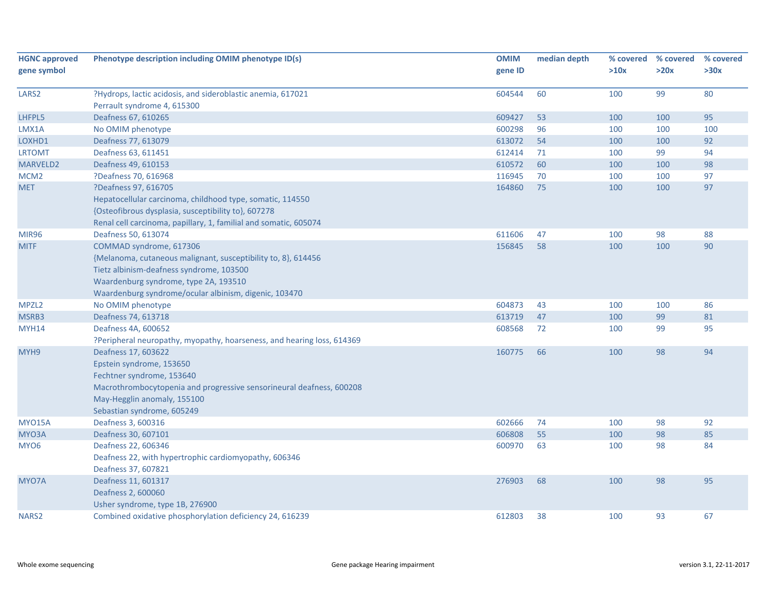| gene symbol<br>gene ID<br>>10x                                                                          |      | % covered |
|---------------------------------------------------------------------------------------------------------|------|-----------|
|                                                                                                         | >20x | >30x      |
|                                                                                                         |      |           |
| ?Hydrops, lactic acidosis, and sideroblastic anemia, 617021<br>60<br>100<br>LARS <sub>2</sub><br>604544 | 99   | 80        |
| Perrault syndrome 4, 615300                                                                             |      |           |
| LHFPL5<br>Deafness 67, 610265<br>609427<br>53<br>100                                                    | 100  | 95        |
| 600298<br>LMX1A<br>96<br>100<br>No OMIM phenotype                                                       | 100  | 100       |
| 613072<br>LOXHD1<br>Deafness 77, 613079<br>54<br>100                                                    | 100  | 92        |
| 612414<br>71<br><b>LRTOMT</b><br>Deafness 63, 611451<br>100                                             | 99   | 94        |
| MARVELD2<br>Deafness 49, 610153<br>610572<br>60<br>100                                                  | 100  | 98        |
| ?Deafness 70, 616968<br>116945<br>70<br>MCM <sub>2</sub><br>100                                         | 100  | 97        |
| ?Deafness 97, 616705<br>164860<br>75<br>100<br><b>MET</b>                                               | 100  | 97        |
| Hepatocellular carcinoma, childhood type, somatic, 114550                                               |      |           |
| {Osteofibrous dysplasia, susceptibility to}, 607278                                                     |      |           |
| Renal cell carcinoma, papillary, 1, familial and somatic, 605074                                        |      |           |
| 611606<br>47<br><b>MIR96</b><br>Deafness 50, 613074<br>100                                              | 98   | 88        |
| 156845<br><b>MITF</b><br>COMMAD syndrome, 617306<br>58<br>100                                           | 100  | 90        |
| {Melanoma, cutaneous malignant, susceptibility to, 8}, 614456                                           |      |           |
| Tietz albinism-deafness syndrome, 103500                                                                |      |           |
| Waardenburg syndrome, type 2A, 193510                                                                   |      |           |
| Waardenburg syndrome/ocular albinism, digenic, 103470                                                   |      |           |
| 604873<br>MPZL <sub>2</sub><br>43<br>No OMIM phenotype<br>100                                           | 100  | 86        |
| 613719<br>47<br>MSRB3<br>Deafness 74, 613718<br>100                                                     | 99   | 81        |
| <b>MYH14</b><br>Deafness 4A, 600652<br>608568<br>72<br>100                                              | 99   | 95        |
| ?Peripheral neuropathy, myopathy, hoarseness, and hearing loss, 614369                                  |      |           |
| MYH9<br>Deafness 17, 603622<br>160775<br>66<br>100                                                      | 98   | 94        |
| Epstein syndrome, 153650                                                                                |      |           |
| Fechtner syndrome, 153640                                                                               |      |           |
| Macrothrombocytopenia and progressive sensorineural deafness, 600208                                    |      |           |
| May-Hegglin anomaly, 155100                                                                             |      |           |
| Sebastian syndrome, 605249                                                                              |      |           |
| <b>MYO15A</b><br>Deafness 3, 600316<br>602666<br>74<br>100                                              | 98   | 92        |
| Deafness 30, 607101<br>606808<br>55<br>MYO3A<br>100                                                     | 98   | 85        |
| Deafness 22, 606346<br>600970<br>63<br>MYO <sub>6</sub><br>100                                          | 98   | 84        |
| Deafness 22, with hypertrophic cardiomyopathy, 606346                                                   |      |           |
| Deafness 37, 607821                                                                                     |      |           |
| 276903<br>68<br>100<br>MYO7A<br>Deafness 11, 601317                                                     | 98   | 95        |
| Deafness 2, 600060                                                                                      |      |           |
| Usher syndrome, type 1B, 276900                                                                         |      |           |
| 612803<br>NARS <sub>2</sub><br>Combined oxidative phosphorylation deficiency 24, 616239<br>38<br>100    | 93   | 67        |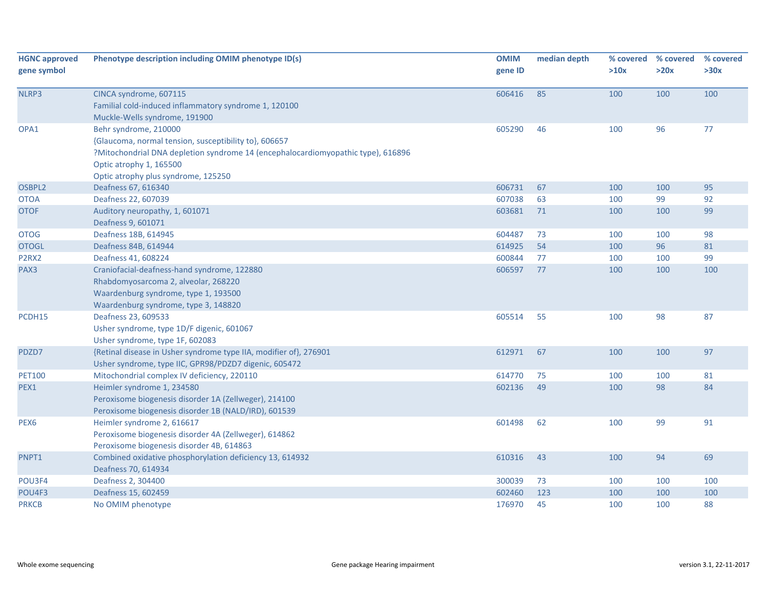| <b>HGNC approved</b><br>gene symbol | Phenotype description including OMIM phenotype ID(s)                                                                                                                                                                                 | <b>OMIM</b><br>gene ID | median depth | % covered<br>>10x | % covered<br>>20x | % covered<br>>30x |
|-------------------------------------|--------------------------------------------------------------------------------------------------------------------------------------------------------------------------------------------------------------------------------------|------------------------|--------------|-------------------|-------------------|-------------------|
| NLRP3                               | CINCA syndrome, 607115<br>Familial cold-induced inflammatory syndrome 1, 120100<br>Muckle-Wells syndrome, 191900                                                                                                                     | 606416                 | 85           | 100               | 100               | 100               |
| OPA1                                | Behr syndrome, 210000<br>{Glaucoma, normal tension, susceptibility to}, 606657<br>?Mitochondrial DNA depletion syndrome 14 (encephalocardiomyopathic type), 616896<br>Optic atrophy 1, 165500<br>Optic atrophy plus syndrome, 125250 | 605290                 | 46           | 100               | 96                | 77                |
| OSBPL2                              | Deafness 67, 616340                                                                                                                                                                                                                  | 606731                 | 67           | 100               | 100               | 95                |
| <b>OTOA</b>                         | Deafness 22, 607039                                                                                                                                                                                                                  | 607038                 | 63           | 100               | 99                | 92                |
| <b>OTOF</b>                         | Auditory neuropathy, 1, 601071<br>Deafness 9, 601071                                                                                                                                                                                 | 603681                 | 71           | 100               | 100               | 99                |
| <b>OTOG</b>                         | Deafness 18B, 614945                                                                                                                                                                                                                 | 604487                 | 73           | 100               | 100               | 98                |
| <b>OTOGL</b>                        | Deafness 84B, 614944                                                                                                                                                                                                                 | 614925                 | 54           | 100               | 96                | 81                |
| P2RX2                               | Deafness 41, 608224                                                                                                                                                                                                                  | 600844                 | 77           | 100               | 100               | 99                |
| PAX3                                | Craniofacial-deafness-hand syndrome, 122880<br>Rhabdomyosarcoma 2, alveolar, 268220<br>Waardenburg syndrome, type 1, 193500<br>Waardenburg syndrome, type 3, 148820                                                                  | 606597                 | 77           | 100               | 100               | 100               |
| PCDH15                              | Deafness 23, 609533<br>Usher syndrome, type 1D/F digenic, 601067<br>Usher syndrome, type 1F, 602083                                                                                                                                  | 605514                 | 55           | 100               | 98                | 87                |
| PDZD7                               | {Retinal disease in Usher syndrome type IIA, modifier of}, 276901<br>Usher syndrome, type IIC, GPR98/PDZD7 digenic, 605472                                                                                                           | 612971                 | 67           | 100               | 100               | 97                |
| <b>PET100</b>                       | Mitochondrial complex IV deficiency, 220110                                                                                                                                                                                          | 614770                 | 75           | 100               | 100               | 81                |
| PEX1                                | Heimler syndrome 1, 234580<br>Peroxisome biogenesis disorder 1A (Zellweger), 214100<br>Peroxisome biogenesis disorder 1B (NALD/IRD), 601539                                                                                          | 602136                 | 49           | 100               | 98                | 84                |
| PEX <sub>6</sub>                    | Heimler syndrome 2, 616617<br>Peroxisome biogenesis disorder 4A (Zellweger), 614862<br>Peroxisome biogenesis disorder 4B, 614863                                                                                                     | 601498                 | 62           | 100               | 99                | 91                |
| PNPT1                               | Combined oxidative phosphorylation deficiency 13, 614932<br>Deafness 70, 614934                                                                                                                                                      | 610316                 | 43           | 100               | 94                | 69                |
| POU3F4                              | Deafness 2, 304400                                                                                                                                                                                                                   | 300039                 | 73           | 100               | 100               | 100               |
| POU4F3                              | Deafness 15, 602459                                                                                                                                                                                                                  | 602460                 | 123          | 100               | 100               | 100               |
| <b>PRKCB</b>                        | No OMIM phenotype                                                                                                                                                                                                                    | 176970                 | 45           | 100               | 100               | 88                |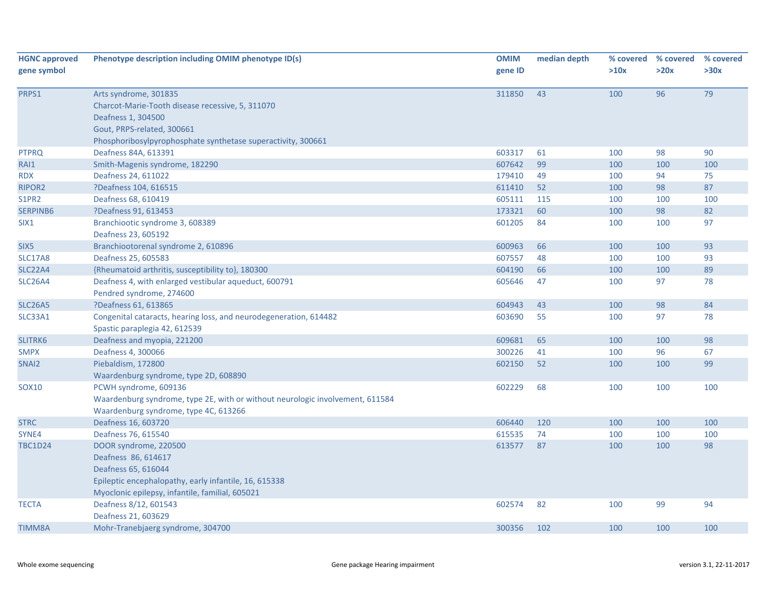| <b>HGNC approved</b> | Phenotype description including OMIM phenotype ID(s)                          | <b>OMIM</b> | median depth | % covered | % covered | % covered |
|----------------------|-------------------------------------------------------------------------------|-------------|--------------|-----------|-----------|-----------|
| gene symbol          |                                                                               | gene ID     |              | >10x      | >20x      | >30x      |
| PRPS1                | Arts syndrome, 301835                                                         | 311850      | 43           | 100       | 96        | 79        |
|                      | Charcot-Marie-Tooth disease recessive, 5, 311070                              |             |              |           |           |           |
|                      | Deafness 1, 304500                                                            |             |              |           |           |           |
|                      | Gout, PRPS-related, 300661                                                    |             |              |           |           |           |
|                      | Phosphoribosylpyrophosphate synthetase superactivity, 300661                  |             |              |           |           |           |
| <b>PTPRQ</b>         | Deafness 84A, 613391                                                          | 603317      | 61           | 100       | 98        | 90        |
| RAI1                 | Smith-Magenis syndrome, 182290                                                | 607642      | 99           | 100       | 100       | 100       |
| <b>RDX</b>           | Deafness 24, 611022                                                           | 179410      | 49           | 100       | 94        | 75        |
| RIPOR <sub>2</sub>   | ?Deafness 104, 616515                                                         | 611410      | 52           | 100       | 98        | 87        |
| S1PR2                | Deafness 68, 610419                                                           | 605111      | 115          | 100       | 100       | 100       |
| SERPINB6             | ?Deafness 91, 613453                                                          | 173321      | 60           | 100       | 98        | 82        |
| SIX <sub>1</sub>     | Branchiootic syndrome 3, 608389<br>Deafness 23, 605192                        | 601205      | 84           | 100       | 100       | 97        |
| SIX <sub>5</sub>     | Branchiootorenal syndrome 2, 610896                                           | 600963      | 66           | 100       | 100       | 93        |
| <b>SLC17A8</b>       | Deafness 25, 605583                                                           | 607557      | 48           | 100       | 100       | 93        |
| SLC22A4              | {Rheumatoid arthritis, susceptibility to}, 180300                             | 604190      | 66           | 100       | 100       | 89        |
| <b>SLC26A4</b>       | Deafness 4, with enlarged vestibular aqueduct, 600791                         | 605646      | 47           | 100       | 97        | 78        |
|                      | Pendred syndrome, 274600                                                      |             |              |           |           |           |
| <b>SLC26A5</b>       | ?Deafness 61, 613865                                                          | 604943      | 43           | 100       | 98        | 84        |
| SLC33A1              | Congenital cataracts, hearing loss, and neurodegeneration, 614482             | 603690      | 55           | 100       | 97        | 78        |
|                      | Spastic paraplegia 42, 612539                                                 |             |              |           |           |           |
| SLITRK6              | Deafness and myopia, 221200                                                   | 609681      | 65           | 100       | 100       | 98        |
| <b>SMPX</b>          | Deafness 4, 300066                                                            | 300226      | 41           | 100       | 96        | 67        |
| SNAI2                | Piebaldism, 172800                                                            | 602150      | 52           | 100       | 100       | 99        |
|                      | Waardenburg syndrome, type 2D, 608890                                         |             |              |           |           |           |
| SOX <sub>10</sub>    | PCWH syndrome, 609136                                                         | 602229      | 68           | 100       | 100       | 100       |
|                      | Waardenburg syndrome, type 2E, with or without neurologic involvement, 611584 |             |              |           |           |           |
|                      | Waardenburg syndrome, type 4C, 613266                                         |             |              |           |           |           |
| <b>STRC</b>          | Deafness 16, 603720                                                           | 606440      | 120          | 100       | 100       | 100       |
| SYNE4                | Deafness 76, 615540                                                           | 615535      | 74           | 100       | 100       | 100       |
| <b>TBC1D24</b>       | DOOR syndrome, 220500                                                         | 613577      | 87           | 100       | 100       | 98        |
|                      | Deafness 86, 614617                                                           |             |              |           |           |           |
|                      | Deafness 65, 616044                                                           |             |              |           |           |           |
|                      | Epileptic encephalopathy, early infantile, 16, 615338                         |             |              |           |           |           |
|                      | Myoclonic epilepsy, infantile, familial, 605021                               |             |              |           |           |           |
| <b>TECTA</b>         | Deafness 8/12, 601543                                                         | 602574      | 82           | 100       | 99        | 94        |
|                      | Deafness 21, 603629                                                           |             |              |           |           |           |
| <b>TIMM8A</b>        | Mohr-Tranebjaerg syndrome, 304700                                             | 300356      | 102          | 100       | 100       | 100       |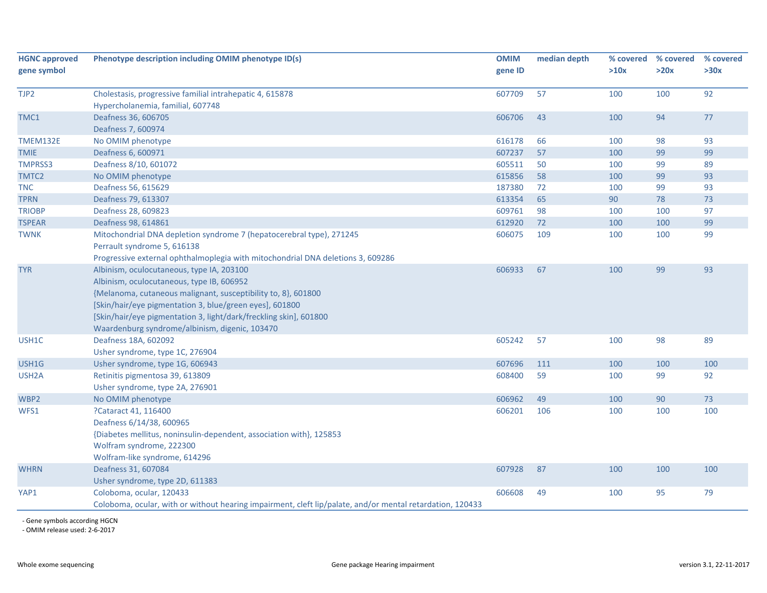| <b>HGNC approved</b> | Phenotype description including OMIM phenotype ID(s)                                                      |         | median depth | % covered | % covered | % covered |
|----------------------|-----------------------------------------------------------------------------------------------------------|---------|--------------|-----------|-----------|-----------|
| gene symbol          |                                                                                                           | gene ID |              | >10x      | >20x      | >30x      |
|                      |                                                                                                           |         |              |           |           |           |
| TJP2                 | Cholestasis, progressive familial intrahepatic 4, 615878                                                  | 607709  | 57           | 100       | 100       | 92        |
|                      | Hypercholanemia, familial, 607748                                                                         |         |              |           |           |           |
| TMC1                 | Deafness 36, 606705                                                                                       | 606706  | 43           | 100       | 94        | 77        |
|                      | Deafness 7, 600974                                                                                        |         |              |           |           |           |
| TMEM132E             | No OMIM phenotype                                                                                         | 616178  | 66           | 100       | 98        | 93        |
| <b>TMIE</b>          | Deafness 6, 600971                                                                                        | 607237  | 57           | 100       | 99        | 99        |
| TMPRSS3              | Deafness 8/10, 601072                                                                                     | 605511  | 50           | 100       | 99        | 89        |
| TMTC2                | No OMIM phenotype                                                                                         | 615856  | 58           | 100       | 99        | 93        |
| <b>TNC</b>           | Deafness 56, 615629                                                                                       | 187380  | 72           | 100       | 99        | 93        |
| <b>TPRN</b>          | Deafness 79, 613307                                                                                       | 613354  | 65           | 90        | 78        | 73        |
| <b>TRIOBP</b>        | Deafness 28, 609823                                                                                       | 609761  | 98           | 100       | 100       | 97        |
| <b>TSPEAR</b>        | Deafness 98, 614861                                                                                       | 612920  | 72           | 100       | 100       | 99        |
| <b>TWNK</b>          | Mitochondrial DNA depletion syndrome 7 (hepatocerebral type), 271245                                      | 606075  | 109          | 100       | 100       | 99        |
|                      | Perrault syndrome 5, 616138                                                                               |         |              |           |           |           |
|                      | Progressive external ophthalmoplegia with mitochondrial DNA deletions 3, 609286                           |         |              |           |           |           |
| <b>TYR</b>           | Albinism, oculocutaneous, type IA, 203100                                                                 | 606933  | 67           | 100       | 99        | 93        |
|                      | Albinism, oculocutaneous, type IB, 606952                                                                 |         |              |           |           |           |
|                      | {Melanoma, cutaneous malignant, susceptibility to, 8}, 601800                                             |         |              |           |           |           |
|                      | [Skin/hair/eye pigmentation 3, blue/green eyes], 601800                                                   |         |              |           |           |           |
|                      | [Skin/hair/eye pigmentation 3, light/dark/freckling skin], 601800                                         |         |              |           |           |           |
|                      | Waardenburg syndrome/albinism, digenic, 103470                                                            |         |              |           |           |           |
| USH1C                | Deafness 18A, 602092                                                                                      | 605242  | 57           | 100       | 98        | 89        |
|                      | Usher syndrome, type 1C, 276904                                                                           |         |              |           |           |           |
| USH1G                | Usher syndrome, type 1G, 606943                                                                           | 607696  | 111          | 100       | 100       | 100       |
| USH <sub>2</sub> A   | Retinitis pigmentosa 39, 613809                                                                           | 608400  | 59           | 100       | 99        | 92        |
|                      | Usher syndrome, type 2A, 276901                                                                           |         |              |           |           |           |
| WBP2                 | No OMIM phenotype                                                                                         | 606962  | 49           | 100       | 90        | 73        |
| WFS1                 | ?Cataract 41, 116400                                                                                      | 606201  | 106          | 100       | 100       | 100       |
|                      | Deafness 6/14/38, 600965                                                                                  |         |              |           |           |           |
|                      | {Diabetes mellitus, noninsulin-dependent, association with}, 125853                                       |         |              |           |           |           |
|                      | Wolfram syndrome, 222300                                                                                  |         |              |           |           |           |
|                      | Wolfram-like syndrome, 614296                                                                             |         |              |           |           |           |
| <b>WHRN</b>          | Deafness 31, 607084                                                                                       | 607928  | 87           | 100       | 100       | 100       |
|                      | Usher syndrome, type 2D, 611383                                                                           |         |              |           |           |           |
| YAP1                 | Coloboma, ocular, 120433                                                                                  | 606608  | 49           | 100       | 95        | 79        |
|                      | Coloboma, ocular, with or without hearing impairment, cleft lip/palate, and/or mental retardation, 120433 |         |              |           |           |           |

‐ Gene symbols according HGCN ‐ OMIM release used: 2‐6‐2017